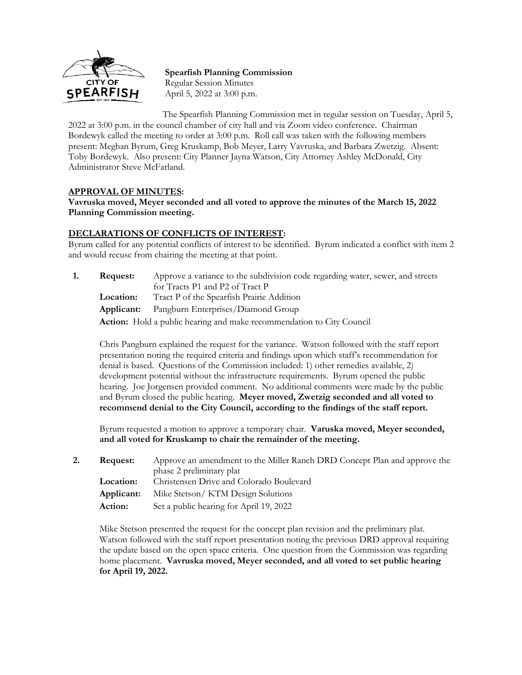

**Spearfish Planning Commission** Regular Session Minutes April 5, 2022 at 3:00 p.m.

The Spearfish Planning Commission met in regular session on Tuesday, April 5, 2022 at 3:00 p.m. in the council chamber of city hall and via Zoom video conference. Chairman Bordewyk called the meeting to order at 3:00 p.m. Roll call was taken with the following members present: Meghan Byrum, Greg Kruskamp, Bob Meyer, Larry Vavruska, and Barbara Zwetzig. Absent: Toby Bordewyk. Also present: City Planner Jayna Watson, City Attorney Ashley McDonald, City Administrator Steve McFarland.

## **APPROVAL OF MINUTES:**

**Vavruska moved, Meyer seconded and all voted to approve the minutes of the March 15, 2022 Planning Commission meeting.**

## **DECLARATIONS OF CONFLICTS OF INTEREST:**

Byrum called for any potential conflicts of interest to be identified. Byrum indicated a conflict with item 2 and would recuse from chairing the meeting at that point.

**1. Request:** Approve a variance to the subdivision code regarding water, sewer, and streets for Tracts P1 and P2 of Tract P **Location:** Tract P of the Spearfish Prairie Addition **Applicant:** Pangburn Enterprises/Diamond Group

**Action:** Hold a public hearing and make recommendation to City Council

Chris Pangburn explained the request for the variance. Watson followed with the staff report presentation noting the required criteria and findings upon which staff's recommendation for denial is based. Questions of the Commission included: 1) other remedies available, 2) development potential without the infrastructure requirements. Byrum opened the public hearing. Joe Jorgensen provided comment. No additional comments were made by the public and Byrum closed the public hearing. **Meyer moved, Zwetzig seconded and all voted to recommend denial to the City Council, according to the findings of the staff report.**

Byrum requested a motion to approve a temporary chair. **Varuska moved, Meyer seconded, and all voted for Kruskamp to chair the remainder of the meeting.**

**2. Request:** Approve an amendment to the Miller Ranch DRD Concept Plan and approve the phase 2 preliminary plat **Location:** Christensen Drive and Colorado Boulevard **Applicant:** Mike Stetson/ KTM Design Solutions **Action:** Set a public hearing for April 19, 2022

Mike Stetson presented the request for the concept plan revision and the preliminary plat. Watson followed with the staff report presentation noting the previous DRD approval requiring the update based on the open space criteria. One question from the Commission was regarding home placement. **Vavruska moved, Meyer seconded, and all voted to set public hearing for April 19, 2022.**